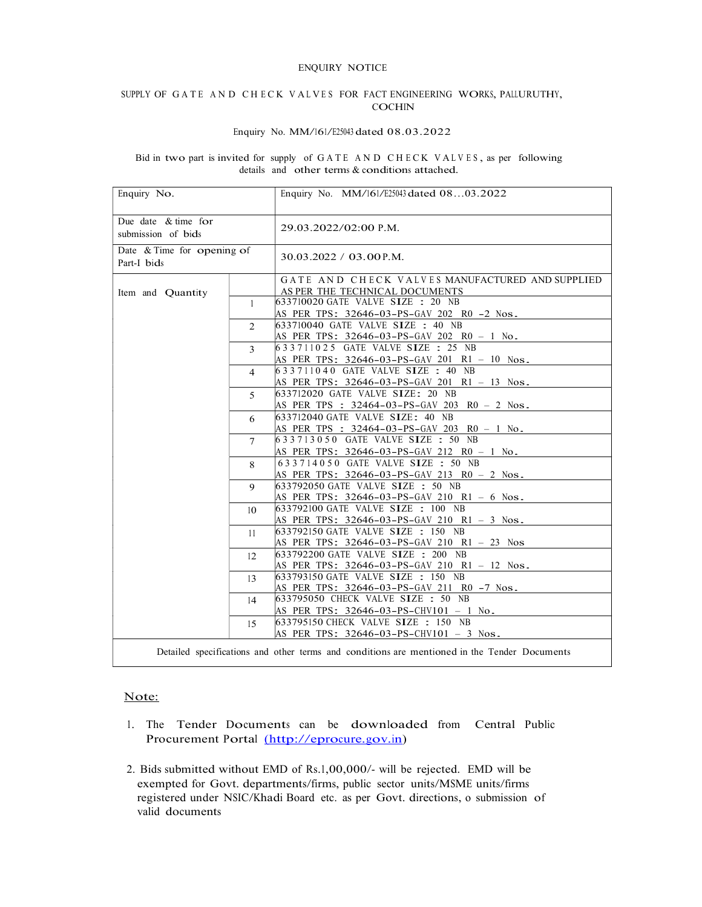#### ENQUIRY NOTICE

# SUPPLY OF GATE AND CHECK VALVES FOR FACT ENGINEERING WORKS, PALLURUTHY,

### Enquiry No. MM/161/E25043 dated 08.03.2022

# Bid in two part is invited for supply of GATE AND CHECK VALVES, as per following details and other terms & conditions attached.

| Enquiry No.                                                                                  |                | Enquiry No. MM/161/E25043 dated 0803.2022       |
|----------------------------------------------------------------------------------------------|----------------|-------------------------------------------------|
| Due date $&$ time for<br>submission of bids                                                  |                | 29.03.2022/02:00 P.M.                           |
| Date & Time for opening of<br>Part-I bids                                                    |                | $30.03.2022 / 03.00$ P.M.                       |
|                                                                                              |                | GATE AND CHECK VALVES MANUFACTURED AND SUPPLIED |
| Item and Quantity                                                                            |                | AS PER THE TECHNICAL DOCUMENTS                  |
|                                                                                              | $\mathbf{1}$   | 633710020 GATE VALVE SIZE : 20 NB               |
|                                                                                              |                | AS PER TPS: 32646-03-PS-GAV 202 R0 -2 Nos.      |
|                                                                                              | $\overline{2}$ | 633710040 GATE VALVE SIZE : 40 NB               |
|                                                                                              |                | AS PER TPS: 32646-03-PS-GAV 202 R0 - 1 No.      |
|                                                                                              | $\mathcal{F}$  | 633711025 GATE VALVE SIZE : 25 NB               |
|                                                                                              |                | AS PER TPS: 32646-03-PS-GAV 201 R1 - 10 Nos.    |
|                                                                                              | 4              | 633711040 GATE VALVE SIZE : 40 NB               |
|                                                                                              |                | AS PER TPS: 32646-03-PS-GAV 201 R1 - 13 Nos.    |
|                                                                                              | $\overline{5}$ | 633712020 GATE VALVE SIZE: 20 NB                |
|                                                                                              |                | AS PER TPS : 32464-03-PS-GAV 203 R0 - 2 Nos.    |
|                                                                                              | 6              | 633712040 GATE VALVE SIZE: 40 NB                |
|                                                                                              |                | AS PER TPS : 32464-03-PS-GAV 203 R0 - 1 No.     |
|                                                                                              | $\tau$         | 633713050 GATE VALVE SIZE : 50 NB               |
|                                                                                              |                | AS PER TPS: 32646-03-PS-GAV 212 R0 - 1 No.      |
|                                                                                              | 8              | 633714050 GATE VALVE SIZE : 50 NB               |
|                                                                                              |                | AS PER TPS: 32646-03-PS-GAV 213 R0 - 2 Nos.     |
|                                                                                              | $\mathbf Q$    | 633792050 GATE VALVE SIZE : 50 NB               |
|                                                                                              |                | AS PER TPS: 32646-03-PS-GAV 210 R1 - 6 Nos.     |
|                                                                                              | 10             | 633792100 GATE VALVE SIZE : 100 NB              |
|                                                                                              |                | AS PER TPS: 32646-03-PS-GAV 210 R1 - 3 Nos.     |
|                                                                                              | 11             | 633792150 GATE VALVE SIZE : 150 NB              |
|                                                                                              |                | AS PER TPS: 32646-03-PS-GAV 210 R1 - 23 Nos     |
|                                                                                              | 12             | 633792200 GATE VALVE SIZE : 200 NB              |
|                                                                                              |                | AS PER TPS: 32646-03-PS-GAV 210 R1 - 12 Nos.    |
|                                                                                              | 13             | 633793150 GATE VALVE SIZE : 150 NB              |
|                                                                                              |                | AS PER TPS: 32646-03-PS-GAV 211 R0 -7 Nos.      |
|                                                                                              | 14             | 633795050 CHECK VALVE SIZE : 50 NB              |
|                                                                                              |                | AS PER TPS: 32646-03-PS-CHV101 - 1 No.          |
|                                                                                              | 15             | 633795150 CHECK VALVE SIZE : 150 NB             |
|                                                                                              |                | AS PER TPS: 32646-03-PS-CHV101 - 3 Nos.         |
| Detailed specifications and other terms and conditions are mentioned in the Tender Documents |                |                                                 |

## Note:

- 1. The Tender Documents can be downloaded from Central Public Procurement Portal (http://eprocure.gov.in)
- 2. Bids submitted without EMD of Rs.1,00,000/- will be rejected. EMD will be exempted for Govt. departments/firms, public sector units/MSME units/firms registered under NSIC/Khadi Board etc. as per Govt. directions, o submission of valid documents